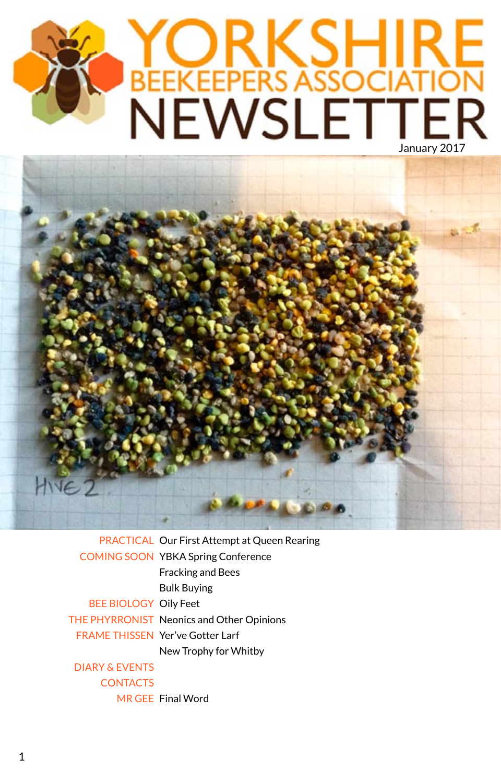# YORKSHIRE<br>BEEKEEPERS ASSOCIATION<br>NEWSLETTER



PRACTICAL Our First Attempt at Queen Rearing COMING SOON YBKA Spring Conference Fracking and Bees Bulk Buying **BEE BIOLOGY Oily Feet** THE PHYRRONIST Neonics and Other Opinions FRAME THISSEN Yer've Gotter Larf New Trophy for Whitby MR GEE Final Word DIARY & EVENTS **CONTACTS**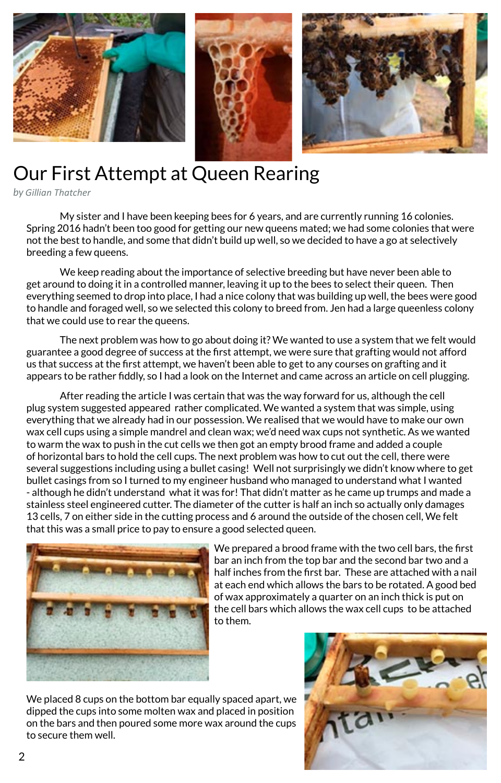

# Our First Attempt at Queen Rearing

*by Gillian Thatcher*

My sister and I have been keeping bees for 6 years, and are currently running 16 colonies. Spring 2016 hadn't been too good for getting our new queens mated; we had some colonies that were not the best to handle, and some that didn't build up well, so we decided to have a go at selectively breeding a few queens.

We keep reading about the importance of selective breeding but have never been able to get around to doing it in a controlled manner, leaving it up to the bees to select their queen. Then everything seemed to drop into place, I had a nice colony that was building up well, the bees were good to handle and foraged well, so we selected this colony to breed from. Jen had a large queenless colony that we could use to rear the queens.

The next problem was how to go about doing it? We wanted to use a system that we felt would guarantee a good degree of success at the first attempt, we were sure that grafting would not afford us that success at the first attempt, we haven't been able to get to any courses on grafting and it appears to be rather fiddly, so I had a look on the Internet and came across an article on cell plugging.

After reading the article I was certain that was the way forward for us, although the cell plug system suggested appeared rather complicated. We wanted a system that was simple, using everything that we already had in our possession. We realised that we would have to make our own wax cell cups using a simple mandrel and clean wax; we'd need wax cups not synthetic. As we wanted to warm the wax to push in the cut cells we then got an empty brood frame and added a couple of horizontal bars to hold the cell cups. The next problem was how to cut out the cell, there were several suggestions including using a bullet casing! Well not surprisingly we didn't know where to get bullet casings from so I turned to my engineer husband who managed to understand what I wanted - although he didn't understand what it was for! That didn't matter as he came up trumps and made a stainless steel engineered cutter. The diameter of the cutter is half an inch so actually only damages 13 cells, 7 on either side in the cutting process and 6 around the outside of the chosen cell, We felt that this was a small price to pay to ensure a good selected queen.



We prepared a brood frame with the two cell bars, the first bar an inch from the top bar and the second bar two and a half inches from the first bar. These are attached with a nail at each end which allows the bars to be rotated. A good bed of wax approximately a quarter on an inch thick is put on the cell bars which allows the wax cell cups to be attached to them.

We placed 8 cups on the bottom bar equally spaced apart, we dipped the cups into some molten wax and placed in position on the bars and then poured some more wax around the cups to secure them well.

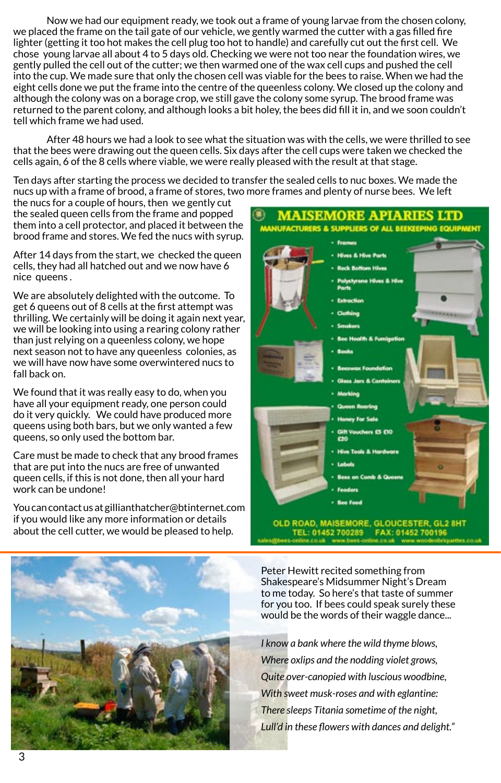Now we had our equipment ready, we took out a frame of young larvae from the chosen colony, we placed the frame on the tail gate of our vehicle, we gently warmed the cutter with a gas filled fire lighter (getting it too hot makes the cell plug too hot to handle) and carefully cut out the first cell. We chose young larvae all about 4 to 5 days old. Checking we were not too near the foundation wires, we gently pulled the cell out of the cutter; we then warmed one of the wax cell cups and pushed the cell into the cup. We made sure that only the chosen cell was viable for the bees to raise. When we had the eight cells done we put the frame into the centre of the queenless colony. We closed up the colony and although the colony was on a borage crop, we still gave the colony some syrup. The brood frame was returned to the parent colony, and although looks a bit holey, the bees did fill it in, and we soon couldn't tell which frame we had used.

After 48 hours we had a look to see what the situation was with the cells, we were thrilled to see that the bees were drawing out the queen cells. Six days after the cell cups were taken we checked the cells again, 6 of the 8 cells where viable, we were really pleased with the result at that stage.

Ten days after starting the process we decided to transfer the sealed cells to nuc boxes. We made the nucs up with a frame of brood, a frame of stores, two more frames and plenty of nurse bees. We left

the nucs for a couple of hours, then we gently cut the sealed queen cells from the frame and popped them into a cell protector, and placed it between the brood frame and stores. We fed the nucs with syrup.

After 14 days from the start, we checked the queen cells, they had all hatched out and we now have 6 nice queens .

We are absolutely delighted with the outcome. To get 6 queens out of 8 cells at the first attempt was thrilling. We certainly will be doing it again next year, we will be looking into using a rearing colony rather than just relying on a queenless colony, we hope next season not to have any queenless colonies, as we will have now have some overwintered nucs to fall back on.

We found that it was really easy to do, when you have all your equipment ready, one person could do it very quickly. We could have produced more queens using both bars, but we only wanted a few queens, so only used the bottom bar.

Care must be made to check that any brood frames that are put into the nucs are free of unwanted queen cells, if this is not done, then all your hard work can be undone!

You can contact us at gillianthatcher@btinternet.com if you would like any more information or details about the cell cutter, we would be pleased to help.



Peter Hewitt recited something from Shakespeare's Midsummer Night's Dream to me today. So here's that taste of summer for you too. If bees could speak surely these would be the words of their waggle dance...

*I know a bank where the wild thyme blows, Where oxlips and the nodding violet grows, Quite over-canopied with luscious woodbine, With sweet musk-roses and with eglantine: There sleeps Titania sometime of the night,* Lull'd in these flowers with dances and delight."

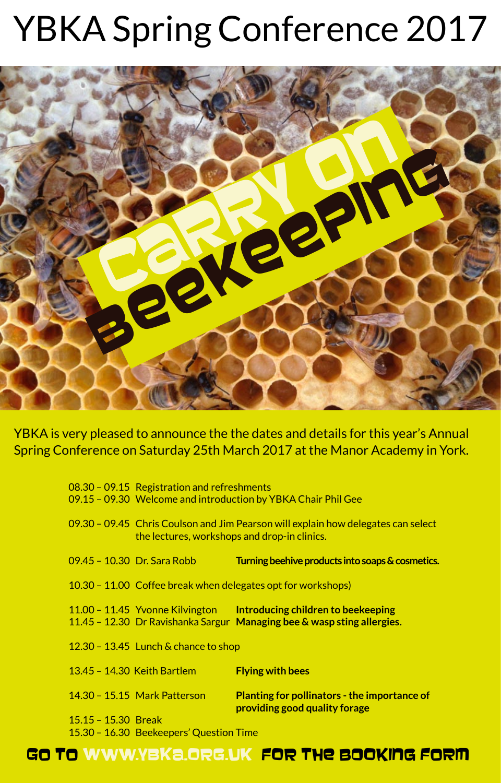# YBKA Spring Conference 2017



YBKA is very pleased to announce the the dates and details for this year's Annual Spring Conference on Saturday 25th March 2017 at the Manor Academy in York.

|  |                       | 08.30 - 09.15 Registration and refreshments<br>09.15 - 09.30 Welcome and introduction by YBKA Chair Phil Gee |                                                                                                                                               |  |
|--|-----------------------|--------------------------------------------------------------------------------------------------------------|-----------------------------------------------------------------------------------------------------------------------------------------------|--|
|  |                       | the lectures, workshops and drop-in clinics.                                                                 | 09.30 - 09.45 Chris Coulson and Jim Pearson will explain how delegates can select                                                             |  |
|  |                       | 09.45 - 10.30 Dr. Sara Robb                                                                                  | Turning beehive products into soaps & cosmetics.                                                                                              |  |
|  |                       |                                                                                                              | 10.30 – 11.00 Coffee break when delegates opt for workshops)                                                                                  |  |
|  |                       |                                                                                                              | 11.00 - 11.45 Yvonne Kilvington Introducing children to beekeeping<br>11.45 - 12.30 Dr Ravishanka Sargur Managing bee & wasp sting allergies. |  |
|  |                       | $12.30 - 13.45$ Lunch & chance to shop                                                                       |                                                                                                                                               |  |
|  |                       | 13.45 - 14.30 Keith Bartlem                                                                                  | <b>Flying with bees</b>                                                                                                                       |  |
|  |                       | 14.30 - 15.15 Mark Patterson                                                                                 | <b>Planting for pollinators - the importance of</b><br>providing good quality forage                                                          |  |
|  | $15.15 - 15.30$ Break |                                                                                                              |                                                                                                                                               |  |
|  |                       | 15.30 - 16.30 Beekeepers' Question Time                                                                      |                                                                                                                                               |  |

## GO TO WWW.YBKa.ORG.UK FOR THE BOOKING FORM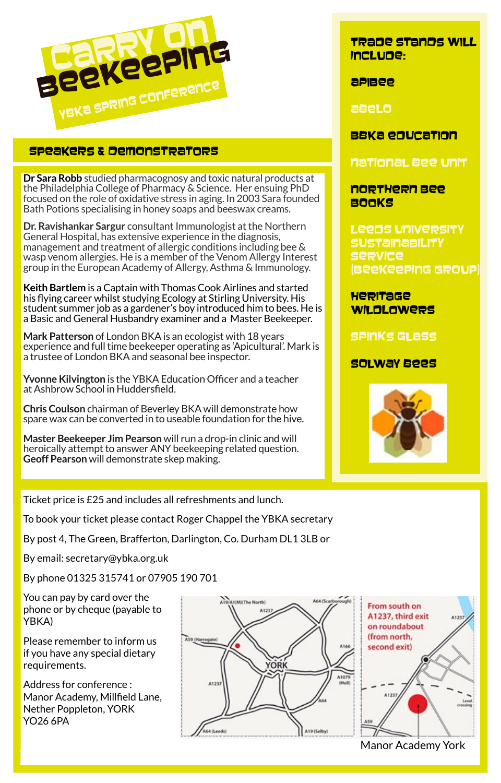

## SPEAKERS & DEMONSTRATORS

**Dr Sara Robb** studied pharmacognosy and toxic natural products at the Philadelphia College of Pharmacy & Science. Her ensuing PhD focused on the role of oxidative stress in aging. In 2003 Sara founded Bath Potions specialising in honey soaps and beeswax creams.

**Dr. Ravishankar Sargur** consultant Immunologist at the Northern General Hospital, has extensive experience in the diagnosis, management and treatment of allergic conditions including bee & wasp venom allergies. He is a member of the Venom Allergy Interest group in the European Academy of Allergy, Asthma & Immunology.

**Keith Bartlem** is a Captain with Thomas Cook Airlines and started his flying career whilst studying Ecology at Stirling University. His student summer job as a gardener's boy introduced him to bees. He is a Basic and General Husbandry examiner and a Master Beekeeper.

**Mark Patterson** of London BKA is an ecologist with 18 years experience and full time beekeeper operating as 'Apicultural'. Mark is a trustee of London BKA and seasonal bee inspector.

**Yvonne Kilvington** is the YBKA Education Officer and a teacher at Ashbrow School in Huddersfield.

**Chris Coulson** chairman of Beverley BKA will demonstrate how spare wax can be converted in to useable foundation for the hive.

**Master Beekeeper Jim Pearson** will run a drop-in clinic and will heroically attempt to answer ANY beekeeping related question. **Geoff Pearson** will demonstrate skep making.

Ticket price is £25 and includes all refreshments and lunch.

To book your ticket please contact Roger Chappel the YBKA secretary

By post 4, The Green, Brafferton, Darlington, Co. Durham DL1 3LB or

By email: secretary@ybka.org.uk

By phone 01325 315741 or 07905 190 701

You can pay by card over the phone or by cheque (payable to YBKA)

Please remember to inform us if you have any special dietary requirements.

Address for conference : Manor Academy, Millfield Lane, Nether Poppleton, YORK YO26 6PA

5



Manor Academy York

 $4123$ 

Leve

### TRADE STANDS WILL iClDe:

apmee

AbLo

## BBKa enucation

national Bee unit

## northern Bee **BOOKS**

Leens University SUSTAMABILITY Service (Beekeeping GROUP)

Heritage WILDLOWERS

SPINKS GLASS

## SOLWAY BEES

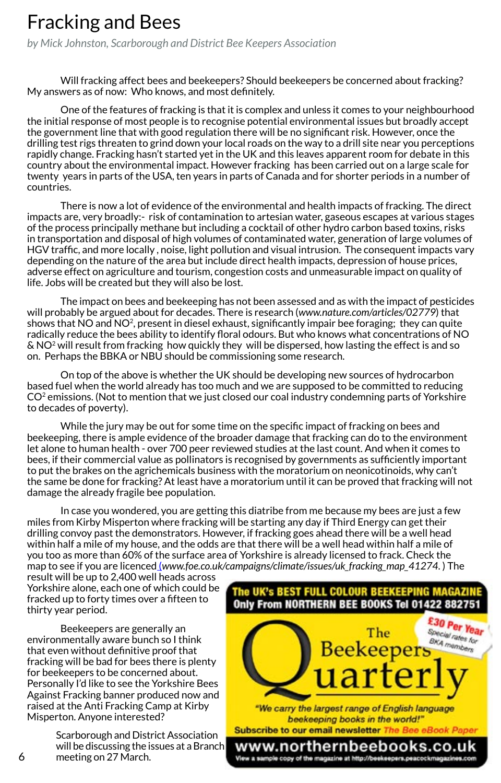## Fracking and Bees

*by Mick Johnston, Scarborough and District Bee Keepers Association*

Will fracking affect bees and beekeepers? Should beekeepers be concerned about fracking? My answers as of now: Who knows, and most definitely.

One of the features of fracking is that it is complex and unless it comes to your neighbourhood the initial response of most people is to recognise potential environmental issues but broadly accept the government line that with good regulation there will be no significant risk. However, once the drilling test rigs threaten to grind down your local roads on the way to a drill site near you perceptions rapidly change. Fracking hasn't started yet in the UK and this leaves apparent room for debate in this country about the environmental impact. However fracking has been carried out on a large scale for twenty years in parts of the USA, ten years in parts of Canada and for shorter periods in a number of countries.

There is now a lot of evidence of the environmental and health impacts of fracking. The direct impacts are, very broadly:- risk of contamination to artesian water, gaseous escapes at various stages of the process principally methane but including a cocktail of other hydro carbon based toxins, risks in transportation and disposal of high volumes of contaminated water, generation of large volumes of HGV traffic, and more locally , noise, light pollution and visual intrusion. The consequent impacts vary depending on the nature of the area but include direct health impacts, depression of house prices, adverse effect on agriculture and tourism, congestion costs and unmeasurable impact on quality of life. Jobs will be created but they will also be lost.

The impact on bees and beekeeping has not been assessed and as with the impact of pesticides will probably be argued about for decades. There is research (*www.nature.com/articles/02779*) that shows that NO and NO<sup>2</sup>, present in diesel exhaust, significantly impair bee foraging; they can quite radically reduce the bees ability to identify floral odours. But who knows what concentrations of NO & NO2 will result from fracking how quickly they will be dispersed, how lasting the effect is and so on. Perhaps the BBKA or NBU should be commissioning some research.

On top of the above is whether the UK should be developing new sources of hydrocarbon based fuel when the world already has too much and we are supposed to be committed to reducing CO<sup>2</sup> emissions. (Not to mention that we just closed our coal industry condemning parts of Yorkshire to decades of poverty).

While the jury may be out for some time on the specific impact of fracking on bees and beekeeping, there is ample evidence of the broader damage that fracking can do to the environment let alone to human health - over 700 peer reviewed studies at the last count. And when it comes to bees, if their commercial value as pollinators is recognised by governments as sufficiently important to put the brakes on the agrichemicals business with the moratorium on neonicotinoids, why can't the same be done for fracking? At least have a moratorium until it can be proved that fracking will not damage the already fragile bee population.

In case you wondered, you are getting this diatribe from me because my bees are just a few miles from Kirby Misperton where fracking will be starting any day if Third Energy can get their drilling convoy past the demonstrators. However, if fracking goes ahead there will be a well head within half a mile of my house, and the odds are that there will be a well head within half a mile of you too as more than 60% of the surface area of Yorkshire is already licensed to frack. Check the map to see if you are licenced (*www.foe.co.uk/campaigns/climate/issues/uk\_fracking\_map\_41274*. ) The

result will be up to 2,400 well heads across Yorkshire alone, each one of which could be fracked up to forty times over a fifteen to thirty year period.

Beekeepers are generally an environmentally aware bunch so I think that even without definitive proof that fracking will be bad for bees there is plenty for beekeepers to be concerned about. Personally I'd like to see the Yorkshire Bees Against Fracking banner produced now and raised at the Anti Fracking Camp at Kirby Misperton. Anyone interested?

> Scarborough and District Association willbe discussing the issues at a Branch meeting on 27 March.

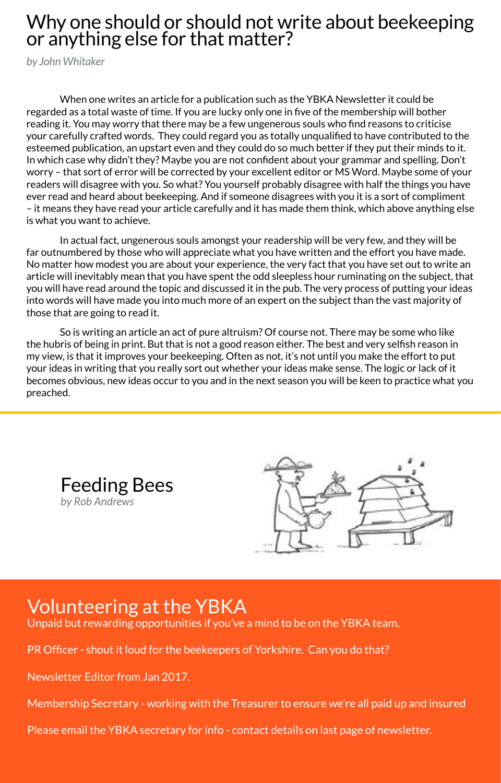## Why one should or should not write about beekeeping or anything else for that matter?

*by John Whitaker*

When one writes an article for a publication such as the YBKA Newsletter it could be regarded as a total waste of time. If you are lucky only one in five of the membership will bother reading it. You may worry that there may be a few ungenerous souls who find reasons to criticise your carefully crafted words. They could regard you as totally unqualified to have contributed to the esteemed publication, an upstart even and they could do so much better if they put their minds to it. In which case why didn't they? Maybe you are not confident about your grammar and spelling. Don't worry – that sort of error will be corrected by your excellent editor or MS Word. Maybe some of your readers will disagree with you. So what? You yourself probably disagree with half the things you have ever read and heard about beekeeping. And if someone disagrees with you it is a sort of compliment – it means they have read your article carefully and it has made them think, which above anything else is what you want to achieve.

In actual fact, ungenerous souls amongst your readership will be very few, and they will be far outnumbered by those who will appreciate what you have written and the effort you have made. No matter how modest you are about your experience, the very fact that you have set out to write an article will inevitably mean that you have spent the odd sleepless hour ruminating on the subject, that you will have read around the topic and discussed it in the pub. The very process of putting your ideas into words will have made you into much more of an expert on the subject than the vast majority of those that are going to read it.

So is writing an article an act of pure altruism? Of course not. There may be some who like the hubris of being in print. But that is not a good reason either. The best and very selfish reason in my view, is that it improves your beekeeping. Often as not, it's not until you make the effort to put your ideas in writing that you really sort out whether your ideas make sense. The logic or lack of it becomes obvious, new ideas occur to you and in the next season you will be keen to practice what you preached.





## Volunteering at the YBKA

Unpaid but rewarding opportunities if you've a mind to be on the YBKA team.

PR Officer - shout it loud for the beekeepers of Yorkshire. Can you do that?

Newsletter Editor from Jan 2017.

Membership Secretary - working with the Treasurer to ensure we're all paid up and insured

Please email the YBKA secretary for info - contact details on last page of newsletter.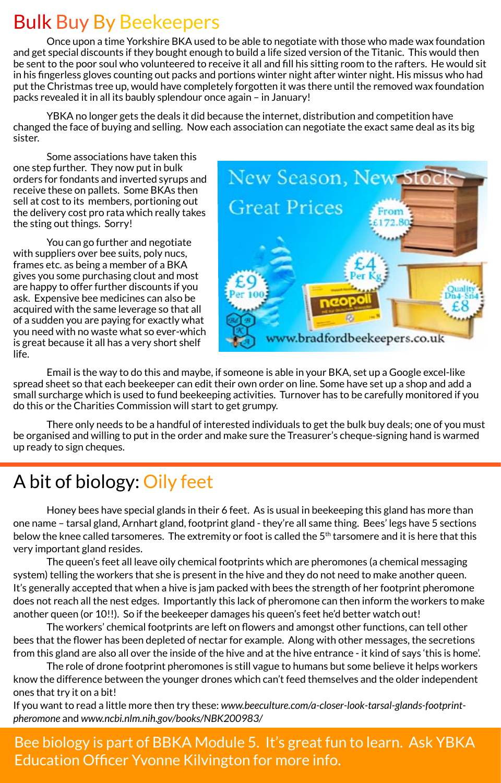# Bulk Buy By Beekeepers

Once upon a time Yorkshire BKA used to be able to negotiate with those who made wax foundation and get special discounts if they bought enough to build a life sized version of the Titanic. This would then be sent to the poor soul who volunteered to receive it all and fill his sitting room to the rafters. He would sit in his fingerless gloves counting out packs and portions winter night after winter night. His missus who had put the Christmas tree up, would have completely forgotten it was there until the removed wax foundation packs revealed it in all its baubly splendour once again – in January!

YBKA no longer gets the deals it did because the internet, distribution and competition have changed the face of buying and selling. Now each association can negotiate the exact same deal as its big sister.

Some associations have taken this one step further. They now put in bulk orders for fondants and inverted syrups and receive these on pallets. Some BKAs then sell at cost to its members, portioning out the delivery cost pro rata which really takes the sting out things. Sorry!

You can go further and negotiate with suppliers over bee suits, poly nucs, frames etc. as being a member of a BKA gives you some purchasing clout and most are happy to offer further discounts if you ask. Expensive bee medicines can also be acquired with the same leverage so that all of a sudden you are paying for exactly what you need with no waste what so ever-which is great because it all has a very short shelf life.



Email is the way to do this and maybe, if someone is able in your BKA, set up a Google excel-like spread sheet so that each beekeeper can edit their own order on line. Some have set up a shop and add a small surcharge which is used to fund beekeeping activities. Turnover has to be carefully monitored if you do this or the Charities Commission will start to get grumpy.

There only needs to be a handful of interested individuals to get the bulk buy deals; one of you must be organised and willing to put in the order and make sure the Treasurer's cheque-signing hand is warmed up ready to sign cheques.

# A bit of biology: Oily feet

Honey bees have special glands in their 6 feet. As is usual in beekeeping this gland has more than one name – tarsal gland, Arnhart gland, footprint gland - they're all same thing. Bees' legs have 5 sections below the knee called tarsomeres. The extremity or foot is called the 5<sup>th</sup> tarsomere and it is here that this very important gland resides.

The queen's feet all leave oily chemical footprints which are pheromones (a chemical messaging system) telling the workers that she is present in the hive and they do not need to make another queen. It's generally accepted that when a hive is jam packed with bees the strength of her footprint pheromone does not reach all the nest edges. Importantly this lack of pheromone can then inform the workers to make another queen (or 10!!). So if the beekeeper damages his queen's feet he'd better watch out!

The workers' chemical footprints are left on flowers and amongst other functions, can tell other bees that the flower has been depleted of nectar for example. Along with other messages, the secretions from this gland are also all over the inside of the hive and at the hive entrance - it kind of says 'this is home'.

The role of drone footprint pheromones is still vague to humans but some believe it helps workers know the difference between the younger drones which can't feed themselves and the older independent ones that try it on a bit!

If you want to read a little more then try these: *www.beeculture.com/a-closer-look-tarsal-glands-footprintpheromone* and *www.ncbi.nlm.nih.gov/books/NBK200983/*

Education Officer Yvonne Kilvington for more info. Bee biology is part of BBKA Module 5. It's great fun to learn. Ask YBKA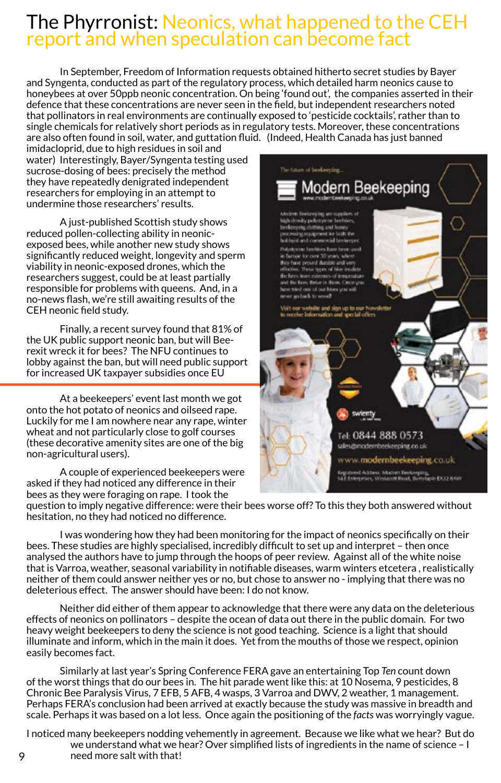# The Phyrronist: Neonics, what happened to the CEH report and when speculation can become fact

In September, Freedom of Information requests obtained hitherto secret studies by Bayer and Syngenta, conducted as part of the regulatory process, which detailed harm neonics cause to honeybees at over 50ppb neonic concentration. On being 'found out', the companies asserted in their defence that these concentrations are never seen in the field, but independent researchers noted that pollinators in real environments are continually exposed to 'pesticide cocktails', rather than to single chemicals for relatively short periods as in regulatory tests. Moreover, these concentrations are also often found in soil, water, and guttation fluid. (Indeed, Health Canada has just banned

imidacloprid, due to high residues in soil and water) Interestingly, Bayer/Syngenta testing used sucrose-dosing of bees: precisely the method they have repeatedly denigrated independent researchers for employing in an attempt to undermine those researchers' results.

A just-published Scottish study shows reduced pollen-collecting ability in neonicexposed bees, while another new study shows significantly reduced weight, longevity and sperm viability in neonic-exposed drones, which the researchers suggest, could be at least partially responsible for problems with queens. And, in a no-news flash, we're still awaiting results of the CEH neonic field study.

Finally, a recent survey found that 81% of the UK public support neonic ban, but will Beerexit wreck it for bees? The NFU continues to lobby against the ban, but will need public support for increased UK taxpayer subsidies once EU

At a beekeepers' event last month we got onto the hot potato of neonics and oilseed rape. Luckily for me I am nowhere near any rape, winter wheat and not particularly close to golf courses (these decorative amenity sites are one of the big non-agricultural users).

A couple of experienced beekeepers were asked if they had noticed any difference in their bees as they were foraging on rape. I took the



question to imply negative difference: were their bees worse off? To this they both answered without hesitation, no they had noticed no difference.

I was wondering how they had been monitoring for the impact of neonics specifically on their bees. These studies are highly specialised, incredibly difficult to set up and interpret – then once analysed the authors have to jump through the hoops of peer review. Against all of the white noise that is Varroa, weather, seasonal variability in notifiable diseases, warm winters etcetera, realistically neither of them could answer neither yes or no, but chose to answer no - implying that there was no deleterious effect. The answer should have been: I do not know.

Neither did either of them appear to acknowledge that there were any data on the deleterious effects of neonics on pollinators – despite the ocean of data out there in the public domain. For two heavy weight beekeepers to deny the science is not good teaching. Science is a light that should illuminate and inform, which in the main it does. Yet from the mouths of those we respect, opinion easily becomes fact.

Similarly at last year's Spring Conference FERA gave an entertaining Top *Ten* count down of the worst things that do our bees in. The hit parade went like this: at 10 Nosema, 9 pesticides, 8 Chronic Bee Paralysis Virus, 7 EFB, 5 AFB, 4 wasps, 3 Varroa and DWV, 2 weather, 1 management. Perhaps FERA's conclusion had been arrived at exactly because the study was massive in breadth and scale. Perhaps it was based on a lot less. Once again the positioning of the *facts* was worryingly vague.

I noticed many beekeepers nodding vehemently in agreement. Because we like what we hear? But do we understand what we hear? Over simplified lists of ingredients in the name of science  $-1$ need more salt with that!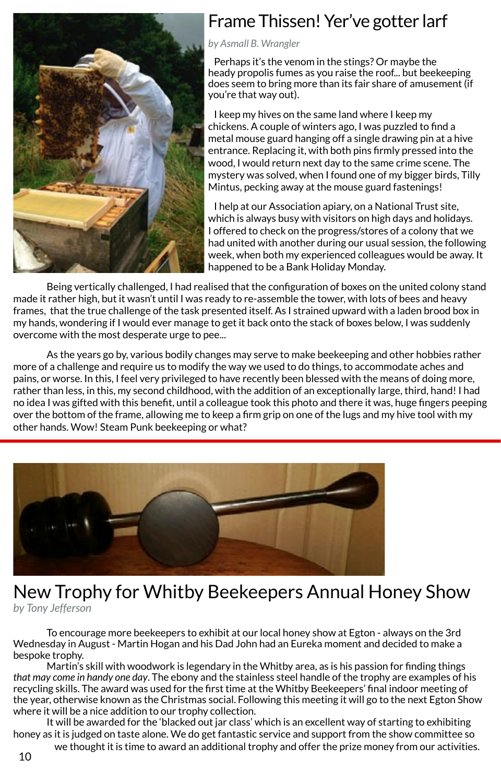

## Frame Thissen! Yer've gotter larf

#### *by Asmall B. Wrangler*

Perhaps it's the venom in the stings? Or maybe the heady propolis fumes as you raise the roof... but beekeeping does seem to bring more than its fair share of amusement (if you're that way out).

I keep my hives on the same land where I keep my chickens. A couple of winters ago, I was puzzled to find a metal mouse guard hanging off a single drawing pin at a hive entrance. Replacing it, with both pins firmly pressed into the wood, I would return next day to the same crime scene. The mystery was solved, when I found one of my bigger birds, Tilly Mintus, pecking away at the mouse guard fastenings!

I help at our Association apiary, on a National Trust site, which is always busy with visitors on high days and holidays. I offered to check on the progress/stores of a colony that we had united with another during our usual session, the following week, when both my experienced colleagues would be away. It happened to be a Bank Holiday Monday.

Being vertically challenged, I had realised that the configuration of boxes on the united colony stand made it rather high, but it wasn't until I was ready to re-assemble the tower, with lots of bees and heavy frames, that the true challenge of the task presented itself. As I strained upward with a laden brood box in my hands, wondering if I would ever manage to get it back onto the stack of boxes below, I was suddenly overcome with the most desperate urge to pee...

As the years go by, various bodily changes may serve to make beekeeping and other hobbies rather more of a challenge and require us to modify the way we used to do things, to accommodate aches and pains, or worse. In this, I feel very privileged to have recently been blessed with the means of doing more, rather than less, in this, my second childhood, with the addition of an exceptionally large, third, hand! I had no idea I was gifted with this benefit, until a colleague took this photo and there it was, huge fingers peeping over the bottom of the frame, allowing me to keep a firm grip on one of the lugs and my hive tool with my other hands. Wow! Steam Punk beekeeping or what?



# New Trophy for Whitby Beekeepers Annual Honey Show

*by Tony Jefferson*

To encourage more beekeepers to exhibit at our local honey show at Egton - always on the 3rd Wednesday in August - Martin Hogan and his Dad John had an Eureka moment and decided to make a bespoke trophy.

Martin's skill with woodwork is legendary in the Whitby area, as is his passion for finding things *that may come in handy one day*. The ebony and the stainless steel handle of the trophy are examples of his recycling skills. The award was used for the first time at the Whitby Beekeepers' final indoor meeting of the year, otherwise known as the Christmas social. Following this meeting it will go to the next Egton Show where it will be a nice addition to our trophy collection.

It will be awarded for the 'blacked out jar class' which is an excellent way of starting to exhibiting honey as it is judged on taste alone. We do get fantastic service and support from the show committee so we thought it is time to award an additional trophy and offer the prize money from our activities.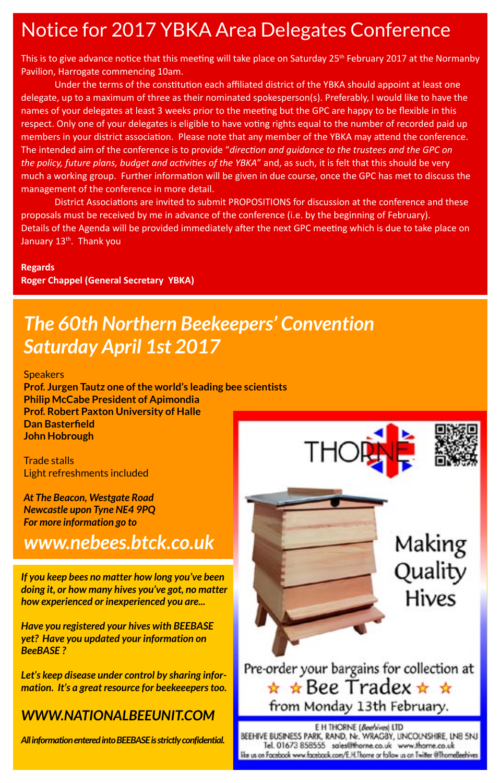## Notice for 2017 YBKA Area Delegates Conference

This is to give advance notice that this meeting will take place on Saturday 25<sup>th</sup> February 2017 at the Normanby Pavilion, Harrogate commencing 10am.

Under the terms of the constitution each affiliated district of the YBKA should appoint at least one delegate, up to a maximum of three as their nominated spokesperson(s). Preferably, I would like to have the names of your delegates at least 3 weeks prior to the meeting but the GPC are happy to be flexible in this respect. Only one of your delegates is eligible to have voting rights equal to the number of recorded paid up members in your district association. Please note that any member of the YBKA may attend the conference. The intended aim of the conference is to provide "direction and guidance to the trustees and the GPC on *the policy, future plans, budget and ac�vi�es of the YBKA*" and, as such, it is felt that this should be very much a working group. Further information will be given in due course, once the GPC has met to discuss the management of the conference in more detail.

District Associations are invited to submit PROPOSITIONS for discussion at the conference and these proposals must be received by me in advance of the conference (i.e. by the beginning of February). Details of the Agenda will be provided immediately after the next GPC meeting which is due to take place on January 13<sup>th</sup>. Thank you

#### **Regards**

**Roger Chappel (General Secretary YBKA)**

# *The 60th Northern Beekeepers' Convention Saturday April 1st 2017*

**Speakers** 

**Prof. Jurgen Tautz one of the world's leading bee scientists Philip McCabe President of Apimondia Prof. Robert Paxton University of Halle Dan Basterfield John Hobrough**

Trade stalls Light refreshments included

*At The Beacon, Westgate Road Newcastle upon Tyne NE4 9PQ For more information go to*

## *www.nebees.btck.co.uk*

*If you keep bees no matter how long you've been doing it, or how many hives you've got, no matter how experienced or inexperienced you are...*

*Have you registered your hives with BEEBASE yet? Have you updated your information on BeeBASE ?*

*Let's keep disease under control by sharing information. It's a great resource for beekeeepers too.*

## *[WWW.NATIONALBEEUNIT.COM](http://www.nationalbeeunit.com)*

*All information entered into BEEBASE is strictly confidential.*

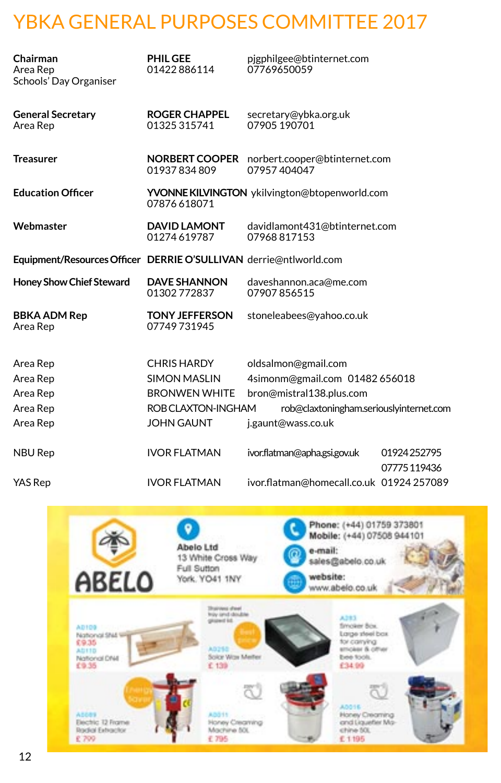# YBKA GENERAL PURPOSES COMMITTEE 2017

| Chairman<br>Area Rep<br>Schools' Day Organiser                    | <b>PHIL GEE</b><br>01422886114       | pigphilgee@btinternet.com<br>07769650059                    |                            |
|-------------------------------------------------------------------|--------------------------------------|-------------------------------------------------------------|----------------------------|
| <b>General Secretary</b><br>Area Rep                              | <b>ROGER CHAPPEL</b><br>01325 315741 | secretary@ybka.org.uk<br>07905 190701                       |                            |
| <b>Treasurer</b>                                                  | 01937834809                          | NORBERT COOPER norbert.cooper@btinternet.com<br>07957404047 |                            |
| <b>Education Officer</b>                                          | 07876618071                          | YVONNE KILVINGTON ykilvington@btopenworld.com               |                            |
| Webmaster                                                         | <b>DAVID LAMONT</b><br>01274619787   | davidlamont431@btinternet.com<br>07968817153                |                            |
| Equipment/Resources Officer DERRIE O'SULLIVAN derrie@ntlworld.com |                                      |                                                             |                            |
| <b>Honey Show Chief Steward</b>                                   | <b>DAVE SHANNON</b><br>01302772837   | daveshannon.aca@me.com<br>07907856515                       |                            |
| <b>BBKA ADM Rep</b><br>Area Rep                                   | <b>TONY JEFFERSON</b><br>07749731945 | stoneleabees@yahoo.co.uk                                    |                            |
| Area Rep                                                          | <b>CHRIS HARDY</b>                   | oldsalmon@gmail.com                                         |                            |
| Area Rep                                                          | <b>SIMON MASLIN</b>                  | 4simonm@gmail.com 01482 656018                              |                            |
| Area Rep                                                          | <b>BRONWEN WHITE</b>                 | bron@mistral138.plus.com                                    |                            |
| Area Rep                                                          | ROB CLAXTON-INGHAM                   | rob@claxtoningham.seriouslyinternet.com                     |                            |
| Area Rep                                                          | <b>JOHN GAUNT</b>                    | j.gaunt@wass.co.uk                                          |                            |
| <b>NBU Rep</b>                                                    | <b>IVOR FLATMAN</b>                  | ivor.flatman@apha.gsi.gov.uk                                | 01924252795<br>07775119436 |
| <b>YAS Rep</b>                                                    | <b>IVOR FLATMAN</b>                  | ivor.flatman@homecall.co.uk 01924 257089                    |                            |